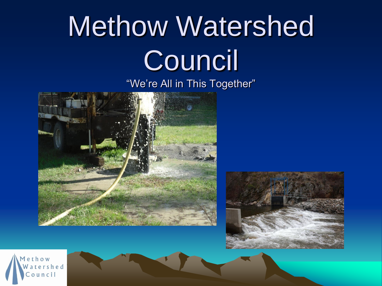# Methow Watershed Council

"We're All in This Together"





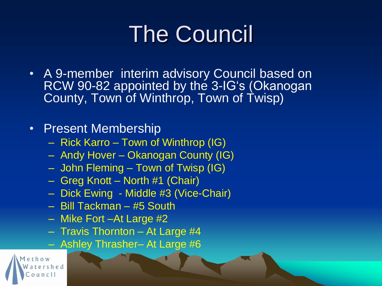### The Council

• A 9-member interim advisory Council based on RCW 90-82 appointed by the 3-IG's (Okanogan County, Town of Winthrop, Town of Twisp)

#### • Present Membership

- Rick Karro Town of Winthrop (IG)
- Andy Hover Okanogan County (IG)
- John Fleming Town of Twisp (IG)
- Greg Knott North #1 (Chair)
- Dick Ewing Middle #3 (Vice-Chair)
- Bill Tackman #5 South
- Mike Fort –At Large #2
- Travis Thornton At Large #4
- Ashley Thrasher– At Large #6

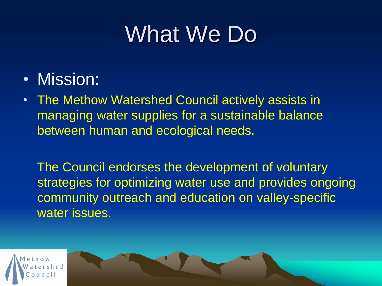#### What We Do

- Mission:
- The Methow Watershed Council actively assists in managing water supplies for a sustainable balance between human and ecological needs.

The Council endorses the development of voluntary strategies for optimizing water use and provides ongoing community outreach and education on valley-specific water issues.

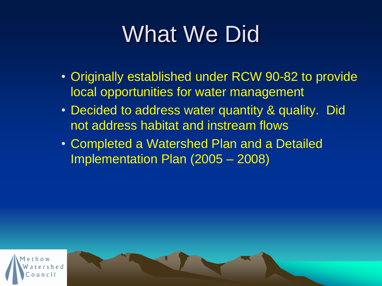### What We Did

- Originally established under RCW 90-82 to provide local opportunities for water management
- Decided to address water quantity & quality. Did not address habitat and instream flows
- Completed a Watershed Plan and a Detailed Implementation Plan (2005 – 2008)

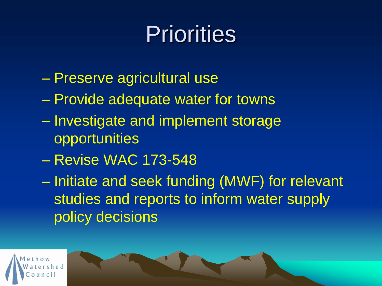#### **Priorities**

- Preserve agricultural use
- Provide adequate water for towns
- Investigate and implement storage opportunities
- Revise WAC 173-548

– Initiate and seek funding (MWF) for relevant studies and reports to inform water supply policy decisions

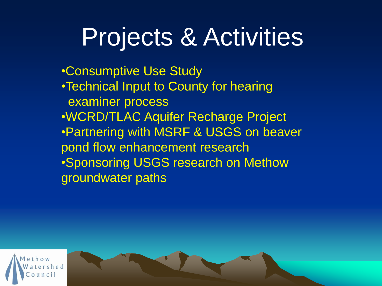# Projects & Activities

•Consumptive Use Study •Technical Input to County for hearing examiner process •WCRD/TLAC Aquifer Recharge Project •Partnering with MSRF & USGS on beaver pond flow enhancement research •Sponsoring USGS research on Methow groundwater paths

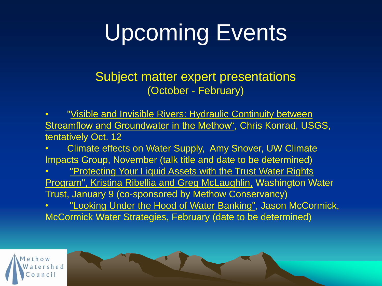# Upcoming Events

Subject matter expert presentations (October - February)

"Visible and Invisible Rivers: Hydraulic Continuity between Streamflow and Groundwater in the Methow", Chris Konrad, USGS, tentatively Oct. 12

• Climate effects on Water Supply, Amy Snover, UW Climate Impacts Group, November (talk title and date to be determined)

• "Protecting Your Liquid Assets with the Trust Water Rights Program", Kristina Ribellia and Greg McLaughlin, Washington Water Trust, January 9 (co-sponsored by Methow Conservancy)

"Looking Under the Hood of Water Banking", Jason McCormick, McCormick Water Strategies, February (date to be determined)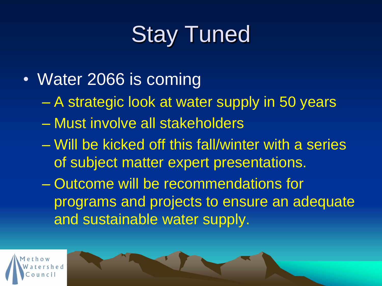# Stay Tuned

- Water 2066 is coming
	- A strategic look at water supply in 50 years
	- Must involve all stakeholders
	- Will be kicked off this fall/winter with a series of subject matter expert presentations.
	- Outcome will be recommendations for programs and projects to ensure an adequate and sustainable water supply.